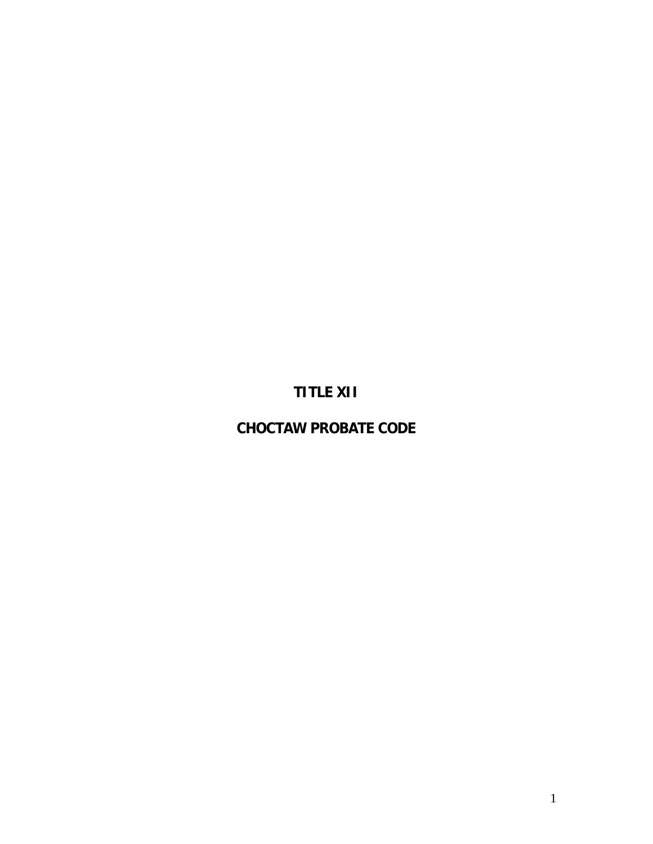# **TITLE XII**

# **CHOCTAW PROBATE CODE**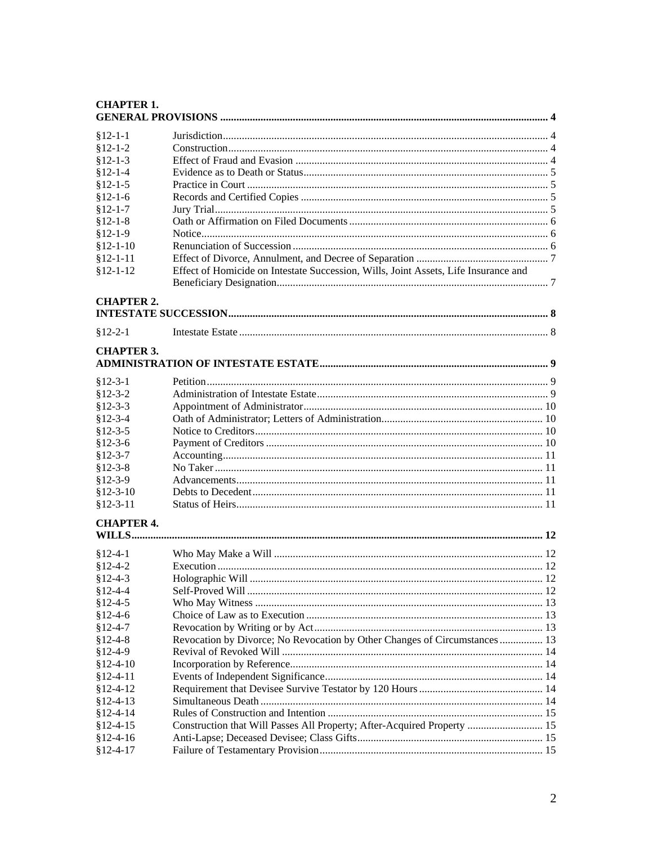| <b>CHAPTER 1.</b> |                                                                                     |  |  |  |
|-------------------|-------------------------------------------------------------------------------------|--|--|--|
| $$12-1-1$         |                                                                                     |  |  |  |
| $$12-1-2$         |                                                                                     |  |  |  |
| $$12-1-3$         |                                                                                     |  |  |  |
| $$12-1-4$         |                                                                                     |  |  |  |
| $$12-1-5$         |                                                                                     |  |  |  |
| $$12-1-6$         |                                                                                     |  |  |  |
| $$12-1-7$         |                                                                                     |  |  |  |
| $$12-1-8$         |                                                                                     |  |  |  |
| $$12-1-9$         |                                                                                     |  |  |  |
| $$12-1-10$        |                                                                                     |  |  |  |
| $$12-1-11$        |                                                                                     |  |  |  |
| $$12-1-12$        | Effect of Homicide on Intestate Succession, Wills, Joint Assets, Life Insurance and |  |  |  |
| <b>CHAPTER 2.</b> |                                                                                     |  |  |  |
|                   |                                                                                     |  |  |  |
| $$12-2-1$         |                                                                                     |  |  |  |
| <b>CHAPTER 3.</b> |                                                                                     |  |  |  |
| $$12-3-1$         |                                                                                     |  |  |  |
| $$12-3-2$         |                                                                                     |  |  |  |
| $$12-3-3$         |                                                                                     |  |  |  |
| $$12-3-4$         |                                                                                     |  |  |  |
| $$12-3-5$         |                                                                                     |  |  |  |
| $$12-3-6$         |                                                                                     |  |  |  |
| $$12-3-7$         |                                                                                     |  |  |  |
| $$12-3-8$         |                                                                                     |  |  |  |
| $$12-3-9$         |                                                                                     |  |  |  |
| $$12-3-10$        |                                                                                     |  |  |  |
| $$12-3-11$        |                                                                                     |  |  |  |
| <b>CHAPTER 4.</b> |                                                                                     |  |  |  |
| $$12-4-1$         |                                                                                     |  |  |  |
| $$12-4-2$         |                                                                                     |  |  |  |
| $$12-4-3$         |                                                                                     |  |  |  |
| $$12-4-4$         |                                                                                     |  |  |  |
| $$12-4-5$         |                                                                                     |  |  |  |
| $$12-4-6$         |                                                                                     |  |  |  |
| $$12-4-7$         |                                                                                     |  |  |  |
| $$12-4-8$         | Revocation by Divorce; No Revocation by Other Changes of Circumstances  13          |  |  |  |
| $$12-4-9$         |                                                                                     |  |  |  |
| $$12-4-10$        |                                                                                     |  |  |  |
| $$12-4-11$        |                                                                                     |  |  |  |
| $$12-4-12$        |                                                                                     |  |  |  |
| $§12 - 4 - 13$    |                                                                                     |  |  |  |
| $§12-4-14$        |                                                                                     |  |  |  |
| $§12-4-15$        | Construction that Will Passes All Property; After-Acquired Property  15             |  |  |  |
| $§12-4-16$        |                                                                                     |  |  |  |
| $$12-4-17$        |                                                                                     |  |  |  |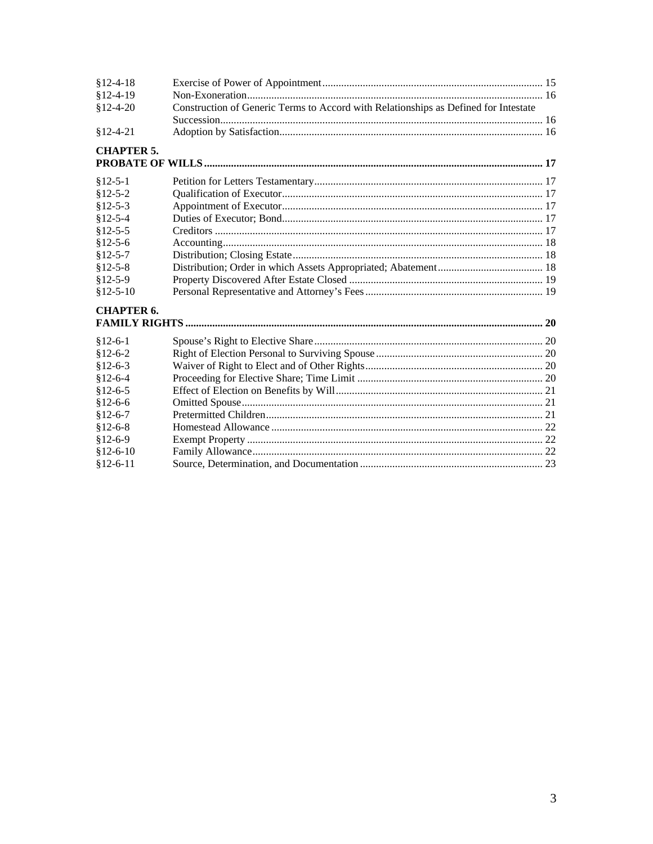| $$12-4-18$        |                                                                                     |  |
|-------------------|-------------------------------------------------------------------------------------|--|
| $$12-4-19$        |                                                                                     |  |
| $$12-4-20$        | Construction of Generic Terms to Accord with Relationships as Defined for Intestate |  |
|                   |                                                                                     |  |
| $§12-4-21$        |                                                                                     |  |
| <b>CHAPTER 5.</b> |                                                                                     |  |
|                   |                                                                                     |  |
| $$12-5-1$         |                                                                                     |  |
| $$12-5-2$         |                                                                                     |  |
| $$12-5-3$         |                                                                                     |  |
| $$12-5-4$         |                                                                                     |  |
| $$12-5-5$         |                                                                                     |  |
| $$12-5-6$         |                                                                                     |  |
| $$12-5-7$         |                                                                                     |  |
| $$12-5-8$         |                                                                                     |  |
| $$12-5-9$         |                                                                                     |  |
| $$12-5-10$        |                                                                                     |  |
| <b>CHAPTER 6.</b> |                                                                                     |  |
|                   |                                                                                     |  |
| $$12-6-1$         |                                                                                     |  |
| $$12-6-2$         |                                                                                     |  |
| $$12-6-3$         |                                                                                     |  |
| $$12-6-4$         |                                                                                     |  |
| $$12-6-5$         |                                                                                     |  |
| $$12-6-6$         |                                                                                     |  |
| $$12-6-7$         |                                                                                     |  |
| $$12-6-8$         |                                                                                     |  |
| $$12-6-9$         |                                                                                     |  |
| $$12-6-10$        |                                                                                     |  |
| $$12-6-11$        |                                                                                     |  |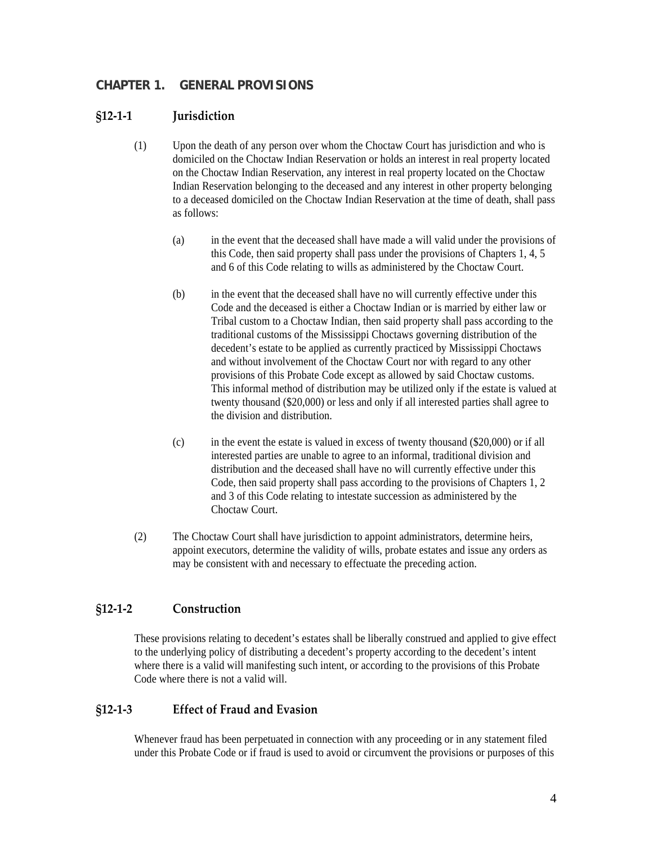## <span id="page-3-0"></span>**CHAPTER 1. GENERAL PROVISIONS**

#### **§12‐1‐1 Jurisdiction**

- (1) Upon the death of any person over whom the Choctaw Court has jurisdiction and who is domiciled on the Choctaw Indian Reservation or holds an interest in real property located on the Choctaw Indian Reservation, any interest in real property located on the Choctaw Indian Reservation belonging to the deceased and any interest in other property belonging to a deceased domiciled on the Choctaw Indian Reservation at the time of death, shall pass as follows:
	- (a) in the event that the deceased shall have made a will valid under the provisions of this Code, then said property shall pass under the provisions of Chapters 1, 4, 5 and 6 of this Code relating to wills as administered by the Choctaw Court.
	- (b) in the event that the deceased shall have no will currently effective under this Code and the deceased is either a Choctaw Indian or is married by either law or Tribal custom to a Choctaw Indian, then said property shall pass according to the traditional customs of the Mississippi Choctaws governing distribution of the decedent's estate to be applied as currently practiced by Mississippi Choctaws and without involvement of the Choctaw Court nor with regard to any other provisions of this Probate Code except as allowed by said Choctaw customs. This informal method of distribution may be utilized only if the estate is valued at twenty thousand (\$20,000) or less and only if all interested parties shall agree to the division and distribution.
	- (c) in the event the estate is valued in excess of twenty thousand (\$20,000) or if all interested parties are unable to agree to an informal, traditional division and distribution and the deceased shall have no will currently effective under this Code, then said property shall pass according to the provisions of Chapters 1, 2 and 3 of this Code relating to intestate succession as administered by the Choctaw Court.
- (2) The Choctaw Court shall have jurisdiction to appoint administrators, determine heirs, appoint executors, determine the validity of wills, probate estates and issue any orders as may be consistent with and necessary to effectuate the preceding action.

## **§12‐1‐2 Construction**

These provisions relating to decedent's estates shall be liberally construed and applied to give effect to the underlying policy of distributing a decedent's property according to the decedent's intent where there is a valid will manifesting such intent, or according to the provisions of this Probate Code where there is not a valid will.

## **§12‐1‐3 Effect of Fraud and Evasion**

Whenever fraud has been perpetuated in connection with any proceeding or in any statement filed under this Probate Code or if fraud is used to avoid or circumvent the provisions or purposes of this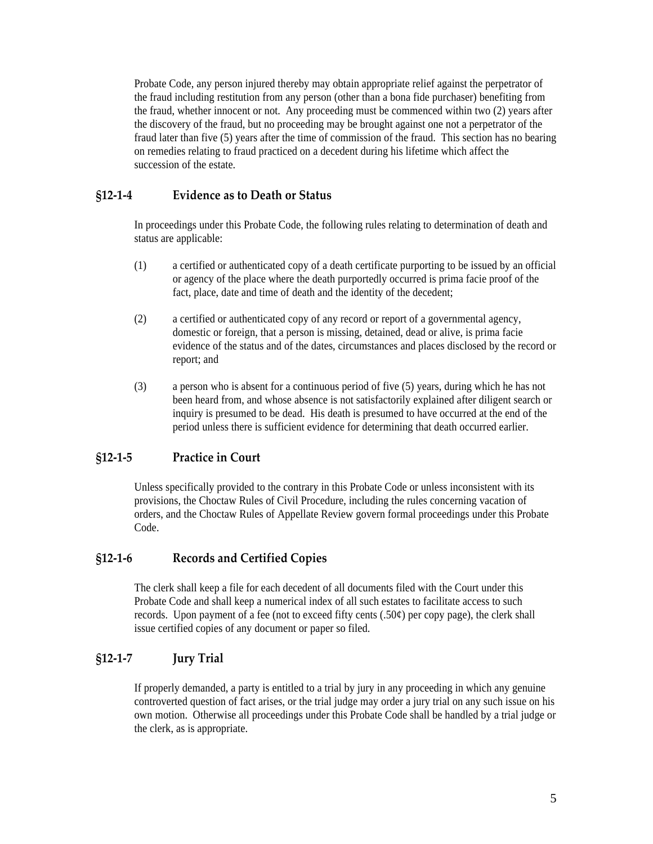<span id="page-4-0"></span>Probate Code, any person injured thereby may obtain appropriate relief against the perpetrator of the fraud including restitution from any person (other than a bona fide purchaser) benefiting from the fraud, whether innocent or not. Any proceeding must be commenced within two (2) years after the discovery of the fraud, but no proceeding may be brought against one not a perpetrator of the fraud later than five (5) years after the time of commission of the fraud. This section has no bearing on remedies relating to fraud practiced on a decedent during his lifetime which affect the succession of the estate.

## **§12‐1‐4 Evidence as to Death or Status**

In proceedings under this Probate Code, the following rules relating to determination of death and status are applicable:

- (1) a certified or authenticated copy of a death certificate purporting to be issued by an official or agency of the place where the death purportedly occurred is prima facie proof of the fact, place, date and time of death and the identity of the decedent;
- (2) a certified or authenticated copy of any record or report of a governmental agency, domestic or foreign, that a person is missing, detained, dead or alive, is prima facie evidence of the status and of the dates, circumstances and places disclosed by the record or report; and
- (3) a person who is absent for a continuous period of five (5) years, during which he has not been heard from, and whose absence is not satisfactorily explained after diligent search or inquiry is presumed to be dead. His death is presumed to have occurred at the end of the period unless there is sufficient evidence for determining that death occurred earlier.

## **§12‐1‐5 Practice in Court**

Unless specifically provided to the contrary in this Probate Code or unless inconsistent with its provisions, the Choctaw Rules of Civil Procedure, including the rules concerning vacation of orders, and the Choctaw Rules of Appellate Review govern formal proceedings under this Probate Code.

## **§12‐1‐6 Records and Certified Copies**

The clerk shall keep a file for each decedent of all documents filed with the Court under this Probate Code and shall keep a numerical index of all such estates to facilitate access to such records. Upon payment of a fee (not to exceed fifty cents  $(.50¢)$  per copy page), the clerk shall issue certified copies of any document or paper so filed.

## **§12‐1‐7 Jury Trial**

If properly demanded, a party is entitled to a trial by jury in any proceeding in which any genuine controverted question of fact arises, or the trial judge may order a jury trial on any such issue on his own motion. Otherwise all proceedings under this Probate Code shall be handled by a trial judge or the clerk, as is appropriate.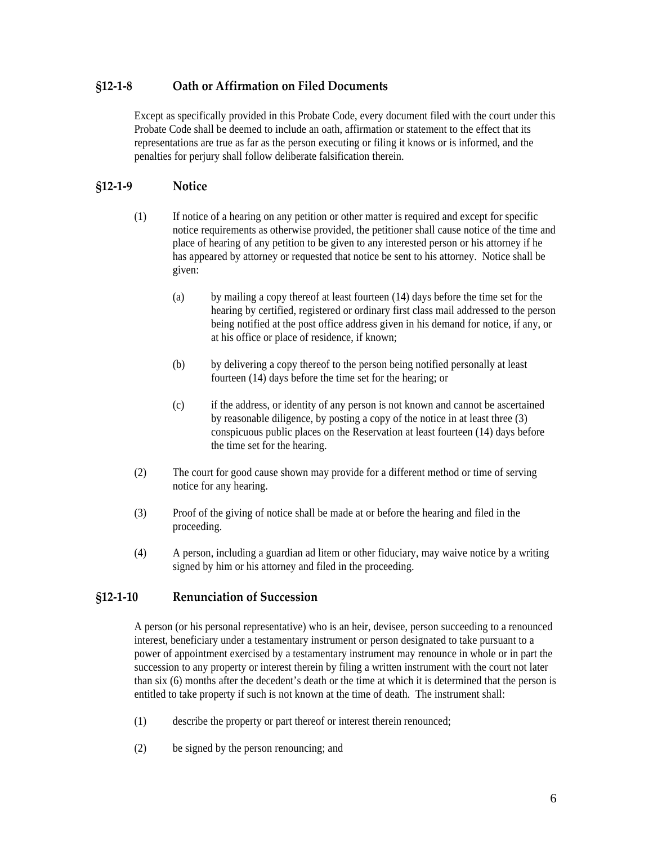## <span id="page-5-0"></span>**§12‐1‐8 Oath or Affirmation on Filed Documents**

Except as specifically provided in this Probate Code, every document filed with the court under this Probate Code shall be deemed to include an oath, affirmation or statement to the effect that its representations are true as far as the person executing or filing it knows or is informed, and the penalties for perjury shall follow deliberate falsification therein.

## **§12‐1‐9 Notice**

- (1) If notice of a hearing on any petition or other matter is required and except for specific notice requirements as otherwise provided, the petitioner shall cause notice of the time and place of hearing of any petition to be given to any interested person or his attorney if he has appeared by attorney or requested that notice be sent to his attorney. Notice shall be given:
	- (a) by mailing a copy thereof at least fourteen (14) days before the time set for the hearing by certified, registered or ordinary first class mail addressed to the person being notified at the post office address given in his demand for notice, if any, or at his office or place of residence, if known;
	- (b) by delivering a copy thereof to the person being notified personally at least fourteen (14) days before the time set for the hearing; or
	- (c) if the address, or identity of any person is not known and cannot be ascertained by reasonable diligence, by posting a copy of the notice in at least three (3) conspicuous public places on the Reservation at least fourteen (14) days before the time set for the hearing.
- (2) The court for good cause shown may provide for a different method or time of serving notice for any hearing.
- (3) Proof of the giving of notice shall be made at or before the hearing and filed in the proceeding.
- (4) A person, including a guardian ad litem or other fiduciary, may waive notice by a writing signed by him or his attorney and filed in the proceeding.

## **§12‐1‐10 Renunciation of Succession**

A person (or his personal representative) who is an heir, devisee, person succeeding to a renounced interest, beneficiary under a testamentary instrument or person designated to take pursuant to a power of appointment exercised by a testamentary instrument may renounce in whole or in part the succession to any property or interest therein by filing a written instrument with the court not later than six (6) months after the decedent's death or the time at which it is determined that the person is entitled to take property if such is not known at the time of death. The instrument shall:

- (1) describe the property or part thereof or interest therein renounced;
- (2) be signed by the person renouncing; and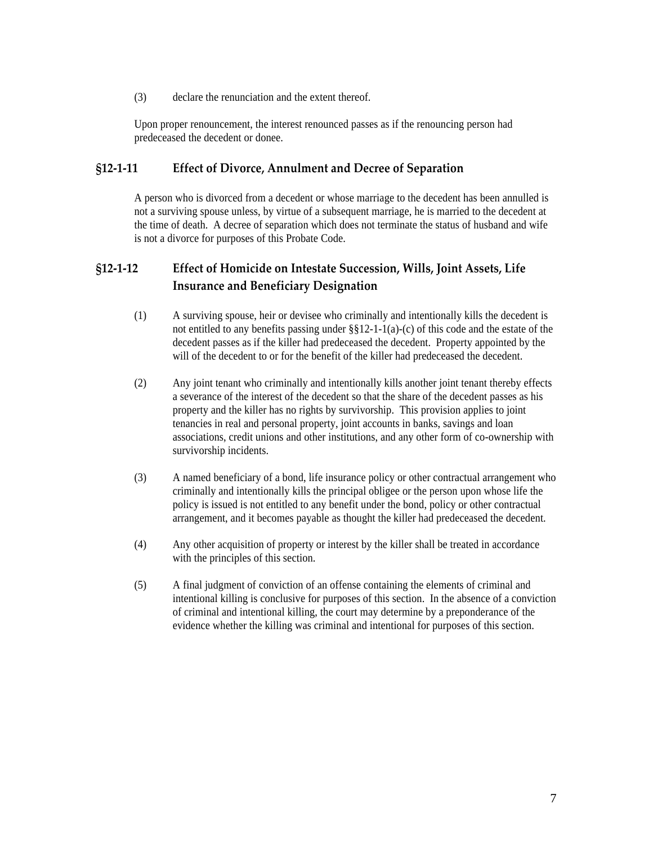<span id="page-6-0"></span>(3) declare the renunciation and the extent thereof.

Upon proper renouncement, the interest renounced passes as if the renouncing person had predeceased the decedent or donee.

#### **§12‐1‐11 Effect of Divorce, Annulment and Decree of Separation**

A person who is divorced from a decedent or whose marriage to the decedent has been annulled is not a surviving spouse unless, by virtue of a subsequent marriage, he is married to the decedent at the time of death. A decree of separation which does not terminate the status of husband and wife is not a divorce for purposes of this Probate Code.

# **§12‐1‐12 Effect of Homicide on Intestate Succession, Wills, Joint Assets, Life Insurance and Beneficiary Designation**

- (1) A surviving spouse, heir or devisee who criminally and intentionally kills the decedent is not entitled to any benefits passing under  $\S$ §12-1-1(a)-(c) of this code and the estate of the decedent passes as if the killer had predeceased the decedent. Property appointed by the will of the decedent to or for the benefit of the killer had predeceased the decedent.
- (2) Any joint tenant who criminally and intentionally kills another joint tenant thereby effects a severance of the interest of the decedent so that the share of the decedent passes as his property and the killer has no rights by survivorship. This provision applies to joint tenancies in real and personal property, joint accounts in banks, savings and loan associations, credit unions and other institutions, and any other form of co-ownership with survivorship incidents.
- (3) A named beneficiary of a bond, life insurance policy or other contractual arrangement who criminally and intentionally kills the principal obligee or the person upon whose life the policy is issued is not entitled to any benefit under the bond, policy or other contractual arrangement, and it becomes payable as thought the killer had predeceased the decedent.
- (4) Any other acquisition of property or interest by the killer shall be treated in accordance with the principles of this section.
- (5) A final judgment of conviction of an offense containing the elements of criminal and intentional killing is conclusive for purposes of this section. In the absence of a conviction of criminal and intentional killing, the court may determine by a preponderance of the evidence whether the killing was criminal and intentional for purposes of this section.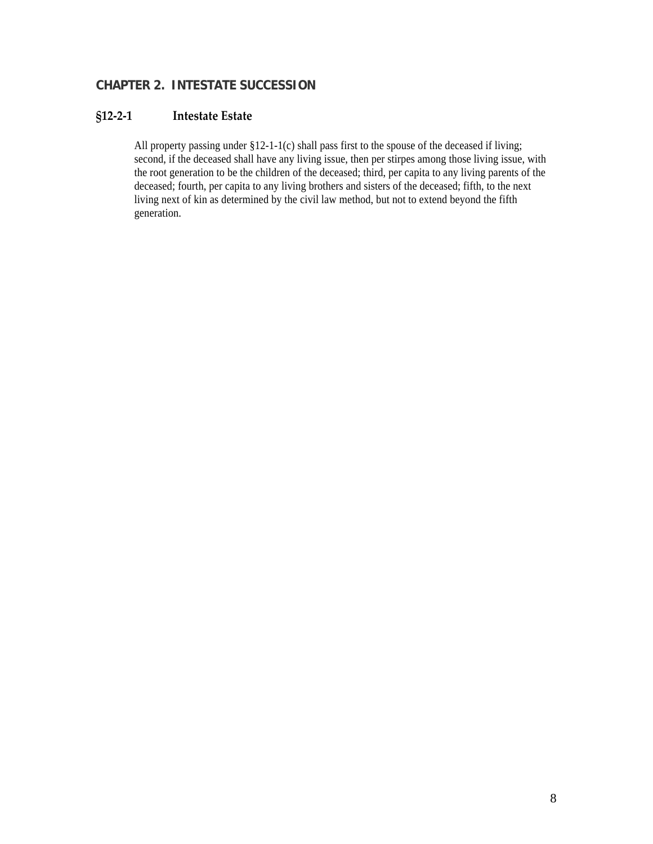# <span id="page-7-0"></span>**CHAPTER 2. INTESTATE SUCCESSION**

# **§12‐2‐1 Intestate Estate**

All property passing under §12-1-1(c) shall pass first to the spouse of the deceased if living; second, if the deceased shall have any living issue, then per stirpes among those living issue, with the root generation to be the children of the deceased; third, per capita to any living parents of the deceased; fourth, per capita to any living brothers and sisters of the deceased; fifth, to the next living next of kin as determined by the civil law method, but not to extend beyond the fifth generation.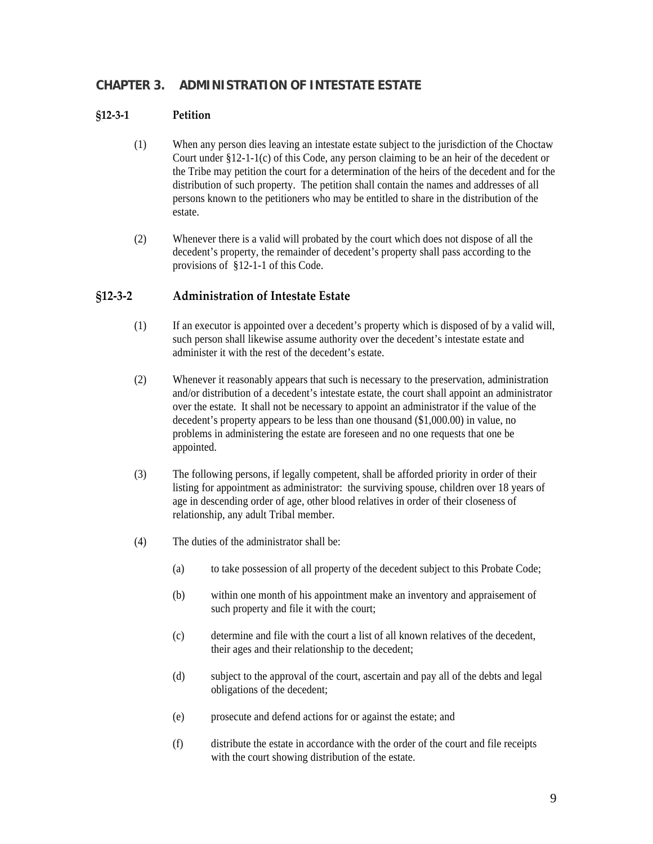# <span id="page-8-0"></span>**CHAPTER 3. ADMINISTRATION OF INTESTATE ESTATE**

#### **§12‐3‐1 Petition**

- (1) When any person dies leaving an intestate estate subject to the jurisdiction of the Choctaw Court under §12-1-1(c) of this Code, any person claiming to be an heir of the decedent or the Tribe may petition the court for a determination of the heirs of the decedent and for the distribution of such property. The petition shall contain the names and addresses of all persons known to the petitioners who may be entitled to share in the distribution of the estate.
- (2) Whenever there is a valid will probated by the court which does not dispose of all the decedent's property, the remainder of decedent's property shall pass according to the provisions of §12-1-1 of this Code.

## **§12‐3‐2 Administration of Intestate Estate**

- (1) If an executor is appointed over a decedent's property which is disposed of by a valid will, such person shall likewise assume authority over the decedent's intestate estate and administer it with the rest of the decedent's estate.
- (2) Whenever it reasonably appears that such is necessary to the preservation, administration and/or distribution of a decedent's intestate estate, the court shall appoint an administrator over the estate. It shall not be necessary to appoint an administrator if the value of the decedent's property appears to be less than one thousand (\$1,000.00) in value, no problems in administering the estate are foreseen and no one requests that one be appointed.
- (3) The following persons, if legally competent, shall be afforded priority in order of their listing for appointment as administrator: the surviving spouse, children over 18 years of age in descending order of age, other blood relatives in order of their closeness of relationship, any adult Tribal member.
- (4) The duties of the administrator shall be:
	- (a) to take possession of all property of the decedent subject to this Probate Code;
	- (b) within one month of his appointment make an inventory and appraisement of such property and file it with the court;
	- (c) determine and file with the court a list of all known relatives of the decedent, their ages and their relationship to the decedent;
	- (d) subject to the approval of the court, ascertain and pay all of the debts and legal obligations of the decedent;
	- (e) prosecute and defend actions for or against the estate; and
	- (f) distribute the estate in accordance with the order of the court and file receipts with the court showing distribution of the estate.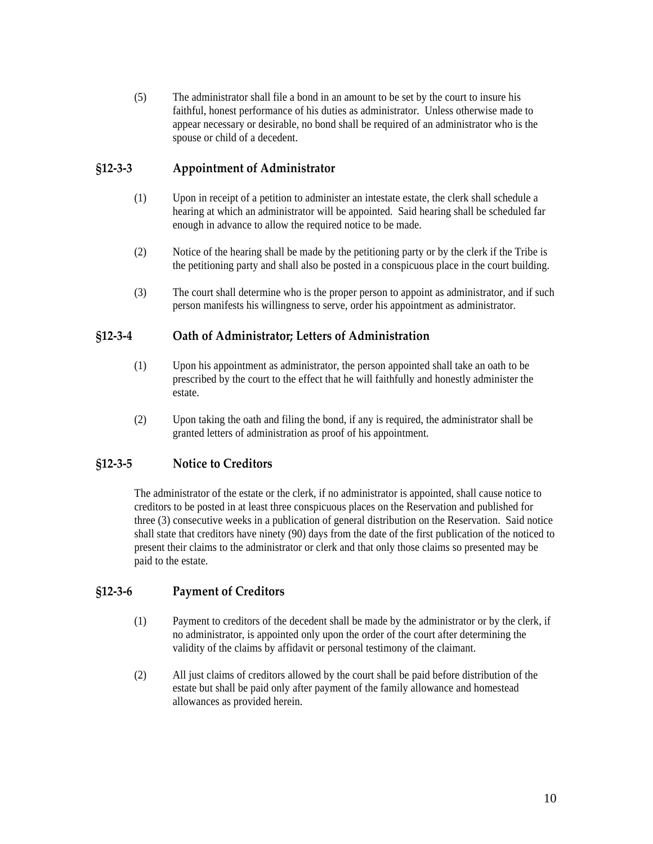<span id="page-9-0"></span>(5) The administrator shall file a bond in an amount to be set by the court to insure his faithful, honest performance of his duties as administrator. Unless otherwise made to appear necessary or desirable, no bond shall be required of an administrator who is the spouse or child of a decedent.

## **§12‐3‐3 Appointment of Administrator**

- (1) Upon in receipt of a petition to administer an intestate estate, the clerk shall schedule a hearing at which an administrator will be appointed. Said hearing shall be scheduled far enough in advance to allow the required notice to be made.
- (2) Notice of the hearing shall be made by the petitioning party or by the clerk if the Tribe is the petitioning party and shall also be posted in a conspicuous place in the court building.
- (3) The court shall determine who is the proper person to appoint as administrator, and if such person manifests his willingness to serve, order his appointment as administrator.

## **§12‐3‐4 Oath of Administrator; Letters of Administration**

- (1) Upon his appointment as administrator, the person appointed shall take an oath to be prescribed by the court to the effect that he will faithfully and honestly administer the estate.
- (2) Upon taking the oath and filing the bond, if any is required, the administrator shall be granted letters of administration as proof of his appointment.

# **§12‐3‐5 Notice to Creditors**

The administrator of the estate or the clerk, if no administrator is appointed, shall cause notice to creditors to be posted in at least three conspicuous places on the Reservation and published for three (3) consecutive weeks in a publication of general distribution on the Reservation. Said notice shall state that creditors have ninety (90) days from the date of the first publication of the noticed to present their claims to the administrator or clerk and that only those claims so presented may be paid to the estate.

## **§12‐3‐6 Payment of Creditors**

- (1) Payment to creditors of the decedent shall be made by the administrator or by the clerk, if no administrator, is appointed only upon the order of the court after determining the validity of the claims by affidavit or personal testimony of the claimant.
- (2) All just claims of creditors allowed by the court shall be paid before distribution of the estate but shall be paid only after payment of the family allowance and homestead allowances as provided herein.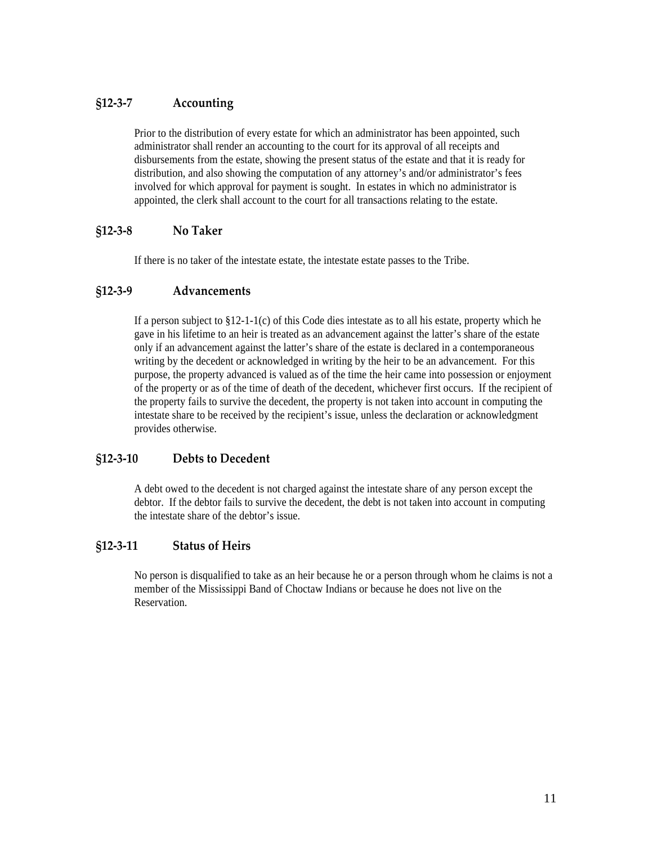# <span id="page-10-0"></span>**§12‐3‐7 Accounting**

Prior to the distribution of every estate for which an administrator has been appointed, such administrator shall render an accounting to the court for its approval of all receipts and disbursements from the estate, showing the present status of the estate and that it is ready for distribution, and also showing the computation of any attorney's and/or administrator's fees involved for which approval for payment is sought. In estates in which no administrator is appointed, the clerk shall account to the court for all transactions relating to the estate.

## **§12‐3‐8 No Taker**

If there is no taker of the intestate estate, the intestate estate passes to the Tribe.

## **§12‐3‐9 Advancements**

If a person subject to  $\S 12$ -1-1(c) of this Code dies intestate as to all his estate, property which he gave in his lifetime to an heir is treated as an advancement against the latter's share of the estate only if an advancement against the latter's share of the estate is declared in a contemporaneous writing by the decedent or acknowledged in writing by the heir to be an advancement. For this purpose, the property advanced is valued as of the time the heir came into possession or enjoyment of the property or as of the time of death of the decedent, whichever first occurs. If the recipient of the property fails to survive the decedent, the property is not taken into account in computing the intestate share to be received by the recipient's issue, unless the declaration or acknowledgment provides otherwise.

## **§12‐3‐10 Debts to Decedent**

A debt owed to the decedent is not charged against the intestate share of any person except the debtor. If the debtor fails to survive the decedent, the debt is not taken into account in computing the intestate share of the debtor's issue.

## **§12‐3‐11 Status of Heirs**

No person is disqualified to take as an heir because he or a person through whom he claims is not a member of the Mississippi Band of Choctaw Indians or because he does not live on the Reservation.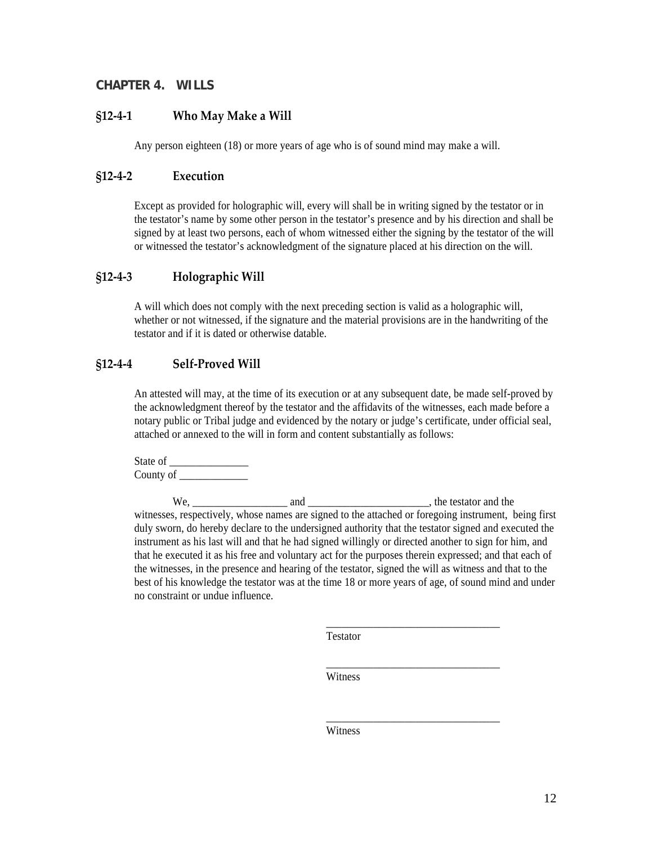## <span id="page-11-0"></span>**CHAPTER 4. WILLS**

#### **§12‐4‐1 Who May Make a Will**

Any person eighteen (18) or more years of age who is of sound mind may make a will.

#### **§12‐4‐2 Execution**

Except as provided for holographic will, every will shall be in writing signed by the testator or in the testator's name by some other person in the testator's presence and by his direction and shall be signed by at least two persons, each of whom witnessed either the signing by the testator of the will or witnessed the testator's acknowledgment of the signature placed at his direction on the will.

## **§12‐4‐3 Holographic Will**

A will which does not comply with the next preceding section is valid as a holographic will, whether or not witnessed, if the signature and the material provisions are in the handwriting of the testator and if it is dated or otherwise datable.

## **§12‐4‐4 Self‐Proved Will**

An attested will may, at the time of its execution or at any subsequent date, be made self-proved by the acknowledgment thereof by the testator and the affidavits of the witnesses, each made before a notary public or Tribal judge and evidenced by the notary or judge's certificate, under official seal, attached or annexed to the will in form and content substantially as follows:

State of County of

We, \_\_\_\_\_\_\_\_\_\_\_\_\_\_\_\_\_\_ and \_\_\_\_\_\_\_\_\_\_\_\_\_\_\_\_\_\_\_\_\_\_\_, the testator and the witnesses, respectively, whose names are signed to the attached or foregoing instrument, being first duly sworn, do hereby declare to the undersigned authority that the testator signed and executed the instrument as his last will and that he had signed willingly or directed another to sign for him, and that he executed it as his free and voluntary act for the purposes therein expressed; and that each of the witnesses, in the presence and hearing of the testator, signed the will as witness and that to the best of his knowledge the testator was at the time 18 or more years of age, of sound mind and under no constraint or undue influence.

Testator

 $\_$ 

 $\_$ 

 $\_$ 

Witness Witness

Witness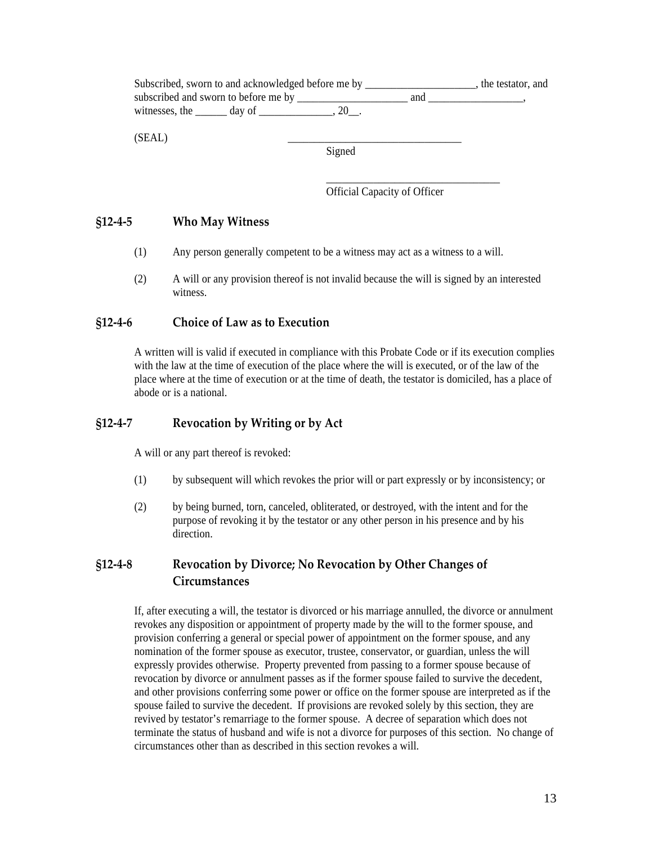<span id="page-12-0"></span>

|                                        | Subscribed, sworn to and acknowledged before me by |     |  |  |
|----------------------------------------|----------------------------------------------------|-----|--|--|
| subscribed and sworn to before me by _ |                                                    | and |  |  |
| witnesses, the day of                  |                                                    |     |  |  |
| (SEAL                                  |                                                    |     |  |  |

Signed

Official Capacity of Officer

## **§12‐4‐5 Who May Witness**

(1) Any person generally competent to be a witness may act as a witness to a will.

 $\_$ 

(2) A will or any provision thereof is not invalid because the will is signed by an interested witness.

## **§12‐4‐6 Choice of Law as to Execution**

A written will is valid if executed in compliance with this Probate Code or if its execution complies with the law at the time of execution of the place where the will is executed, or of the law of the place where at the time of execution or at the time of death, the testator is domiciled, has a place of abode or is a national.

## **§12‐4‐7 Revocation by Writing or by Act**

A will or any part thereof is revoked:

- (1) by subsequent will which revokes the prior will or part expressly or by inconsistency; or
- (2) by being burned, torn, canceled, obliterated, or destroyed, with the intent and for the purpose of revoking it by the testator or any other person in his presence and by his direction.

# **§12‐4‐8 Revocation by Divorce; No Revocation by Other Changes of Circumstances**

If, after executing a will, the testator is divorced or his marriage annulled, the divorce or annulment revokes any disposition or appointment of property made by the will to the former spouse, and provision conferring a general or special power of appointment on the former spouse, and any nomination of the former spouse as executor, trustee, conservator, or guardian, unless the will expressly provides otherwise. Property prevented from passing to a former spouse because of revocation by divorce or annulment passes as if the former spouse failed to survive the decedent, and other provisions conferring some power or office on the former spouse are interpreted as if the spouse failed to survive the decedent. If provisions are revoked solely by this section, they are revived by testator's remarriage to the former spouse. A decree of separation which does not terminate the status of husband and wife is not a divorce for purposes of this section. No change of circumstances other than as described in this section revokes a will.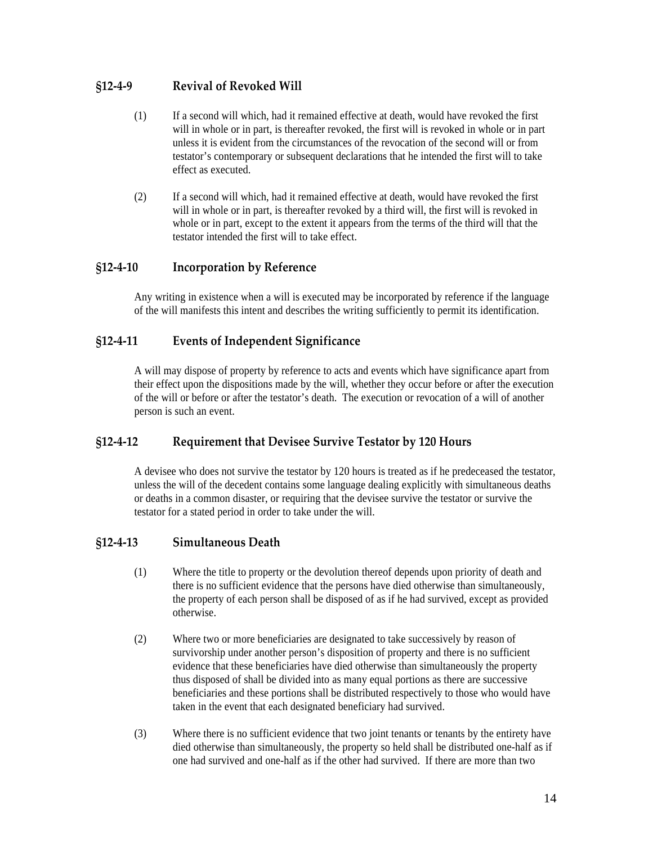# <span id="page-13-0"></span>**§12‐4‐9 Revival of Revoked Will**

- (1) If a second will which, had it remained effective at death, would have revoked the first will in whole or in part, is thereafter revoked, the first will is revoked in whole or in part unless it is evident from the circumstances of the revocation of the second will or from testator's contemporary or subsequent declarations that he intended the first will to take effect as executed.
- (2) If a second will which, had it remained effective at death, would have revoked the first will in whole or in part, is thereafter revoked by a third will, the first will is revoked in whole or in part, except to the extent it appears from the terms of the third will that the testator intended the first will to take effect.

## **§12‐4‐10 Incorporation by Reference**

Any writing in existence when a will is executed may be incorporated by reference if the language of the will manifests this intent and describes the writing sufficiently to permit its identification.

# **§12‐4‐11 Events of Independent Significance**

A will may dispose of property by reference to acts and events which have significance apart from their effect upon the dispositions made by the will, whether they occur before or after the execution of the will or before or after the testator's death. The execution or revocation of a will of another person is such an event.

# **§12‐4‐12 Requirement that Devisee Survive Testator by 120 Hours**

A devisee who does not survive the testator by 120 hours is treated as if he predeceased the testator, unless the will of the decedent contains some language dealing explicitly with simultaneous deaths or deaths in a common disaster, or requiring that the devisee survive the testator or survive the testator for a stated period in order to take under the will.

# **§12‐4‐13 Simultaneous Death**

- (1) Where the title to property or the devolution thereof depends upon priority of death and there is no sufficient evidence that the persons have died otherwise than simultaneously, the property of each person shall be disposed of as if he had survived, except as provided otherwise.
- (2) Where two or more beneficiaries are designated to take successively by reason of survivorship under another person's disposition of property and there is no sufficient evidence that these beneficiaries have died otherwise than simultaneously the property thus disposed of shall be divided into as many equal portions as there are successive beneficiaries and these portions shall be distributed respectively to those who would have taken in the event that each designated beneficiary had survived.
- (3) Where there is no sufficient evidence that two joint tenants or tenants by the entirety have died otherwise than simultaneously, the property so held shall be distributed one-half as if one had survived and one-half as if the other had survived. If there are more than two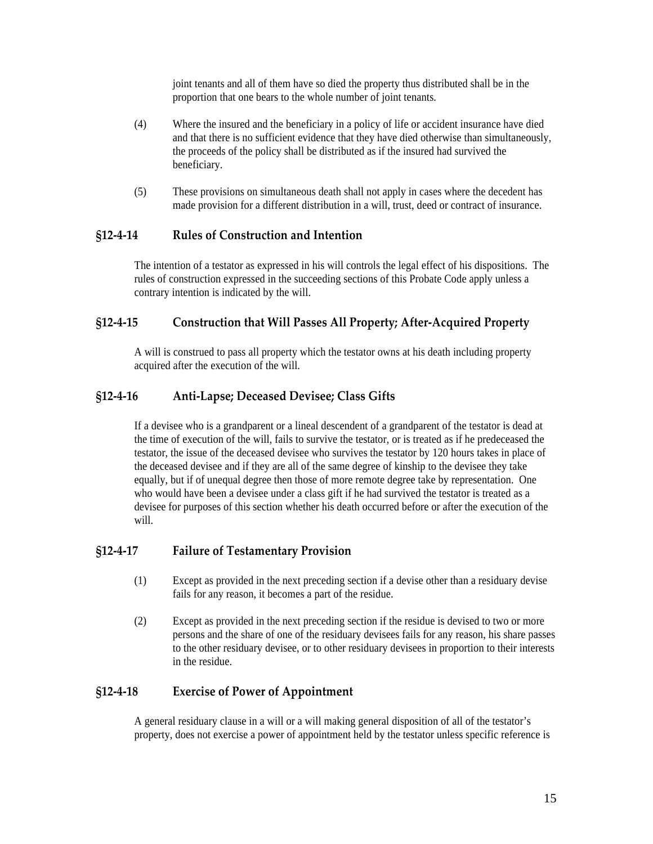joint tenants and all of them have so died the property thus distributed shall be in the proportion that one bears to the whole number of joint tenants.

- <span id="page-14-0"></span>(4) Where the insured and the beneficiary in a policy of life or accident insurance have died and that there is no sufficient evidence that they have died otherwise than simultaneously, the proceeds of the policy shall be distributed as if the insured had survived the beneficiary.
- (5) These provisions on simultaneous death shall not apply in cases where the decedent has made provision for a different distribution in a will, trust, deed or contract of insurance.

## **§12‐4‐14 Rules of Construction and Intention**

The intention of a testator as expressed in his will controls the legal effect of his dispositions. The rules of construction expressed in the succeeding sections of this Probate Code apply unless a contrary intention is indicated by the will.

## **§12‐4‐15 Construction that Will Passes All Property; After‐Acquired Property**

A will is construed to pass all property which the testator owns at his death including property acquired after the execution of the will.

## **§12‐4‐16 Anti‐Lapse; Deceased Devisee; Class Gifts**

If a devisee who is a grandparent or a lineal descendent of a grandparent of the testator is dead at the time of execution of the will, fails to survive the testator, or is treated as if he predeceased the testator, the issue of the deceased devisee who survives the testator by 120 hours takes in place of the deceased devisee and if they are all of the same degree of kinship to the devisee they take equally, but if of unequal degree then those of more remote degree take by representation. One who would have been a devisee under a class gift if he had survived the testator is treated as a devisee for purposes of this section whether his death occurred before or after the execution of the will.

## **§12‐4‐17 Failure of Testamentary Provision**

- (1) Except as provided in the next preceding section if a devise other than a residuary devise fails for any reason, it becomes a part of the residue.
- (2) Except as provided in the next preceding section if the residue is devised to two or more persons and the share of one of the residuary devisees fails for any reason, his share passes to the other residuary devisee, or to other residuary devisees in proportion to their interests in the residue.

## **§12‐4‐18 Exercise of Power of Appointment**

A general residuary clause in a will or a will making general disposition of all of the testator's property, does not exercise a power of appointment held by the testator unless specific reference is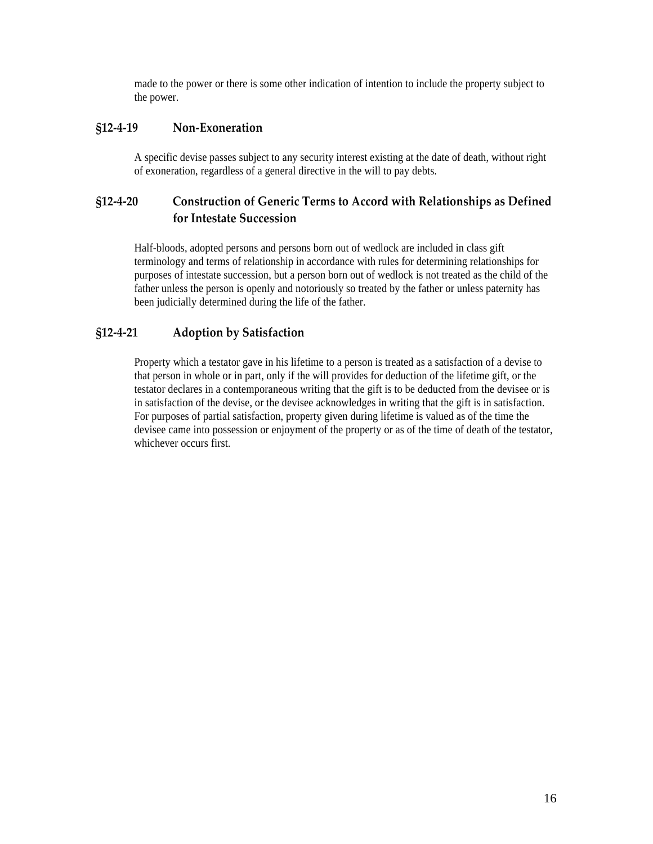made to the power or there is some other indication of intention to include the property subject to the power.

## <span id="page-15-0"></span>**§12‐4‐19 Non‐Exoneration**

A specific devise passes subject to any security interest existing at the date of death, without right of exoneration, regardless of a general directive in the will to pay debts.

# **§12‐4‐20 Construction of Generic Terms to Accord with Relationships as Defined for Intestate Succession**

Half-bloods, adopted persons and persons born out of wedlock are included in class gift terminology and terms of relationship in accordance with rules for determining relationships for purposes of intestate succession, but a person born out of wedlock is not treated as the child of the father unless the person is openly and notoriously so treated by the father or unless paternity has been judicially determined during the life of the father.

# **§12‐4‐21 Adoption by Satisfaction**

Property which a testator gave in his lifetime to a person is treated as a satisfaction of a devise to that person in whole or in part, only if the will provides for deduction of the lifetime gift, or the testator declares in a contemporaneous writing that the gift is to be deducted from the devisee or is in satisfaction of the devise, or the devisee acknowledges in writing that the gift is in satisfaction. For purposes of partial satisfaction, property given during lifetime is valued as of the time the devisee came into possession or enjoyment of the property or as of the time of death of the testator, whichever occurs first.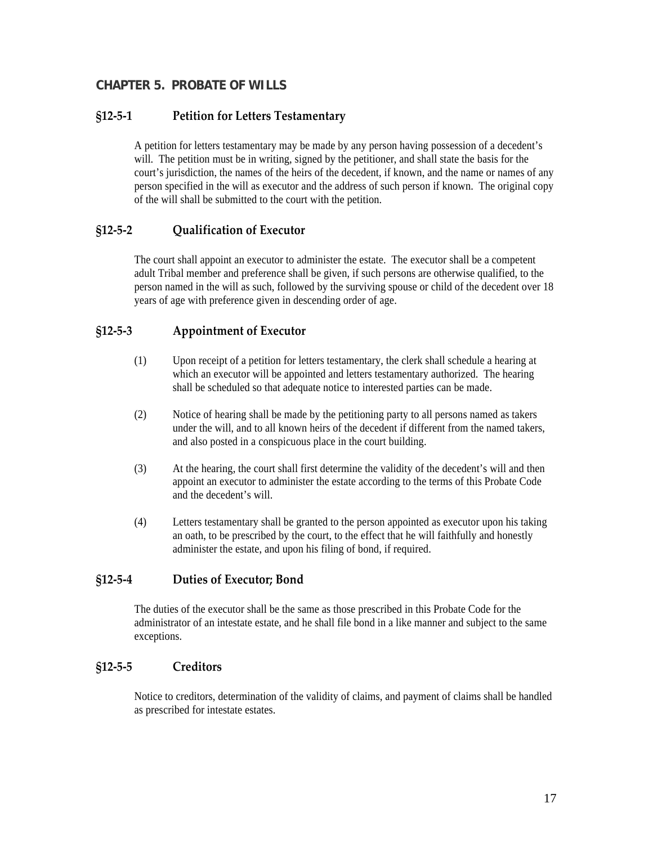## <span id="page-16-0"></span>**CHAPTER 5. PROBATE OF WILLS**

## **§12‐5‐1 Petition for Letters Testamentary**

A petition for letters testamentary may be made by any person having possession of a decedent's will. The petition must be in writing, signed by the petitioner, and shall state the basis for the court's jurisdiction, the names of the heirs of the decedent, if known, and the name or names of any person specified in the will as executor and the address of such person if known. The original copy of the will shall be submitted to the court with the petition.

## **§12‐5‐2 Qualification of Executor**

The court shall appoint an executor to administer the estate. The executor shall be a competent adult Tribal member and preference shall be given, if such persons are otherwise qualified, to the person named in the will as such, followed by the surviving spouse or child of the decedent over 18 years of age with preference given in descending order of age.

## **§12‐5‐3 Appointment of Executor**

- (1) Upon receipt of a petition for letters testamentary, the clerk shall schedule a hearing at which an executor will be appointed and letters testamentary authorized. The hearing shall be scheduled so that adequate notice to interested parties can be made.
- (2) Notice of hearing shall be made by the petitioning party to all persons named as takers under the will, and to all known heirs of the decedent if different from the named takers, and also posted in a conspicuous place in the court building.
- (3) At the hearing, the court shall first determine the validity of the decedent's will and then appoint an executor to administer the estate according to the terms of this Probate Code and the decedent's will.
- (4) Letters testamentary shall be granted to the person appointed as executor upon his taking an oath, to be prescribed by the court, to the effect that he will faithfully and honestly administer the estate, and upon his filing of bond, if required.

## **§12‐5‐4 Duties of Executor; Bond**

The duties of the executor shall be the same as those prescribed in this Probate Code for the administrator of an intestate estate, and he shall file bond in a like manner and subject to the same exceptions.

#### **§12‐5‐5 Creditors**

Notice to creditors, determination of the validity of claims, and payment of claims shall be handled as prescribed for intestate estates.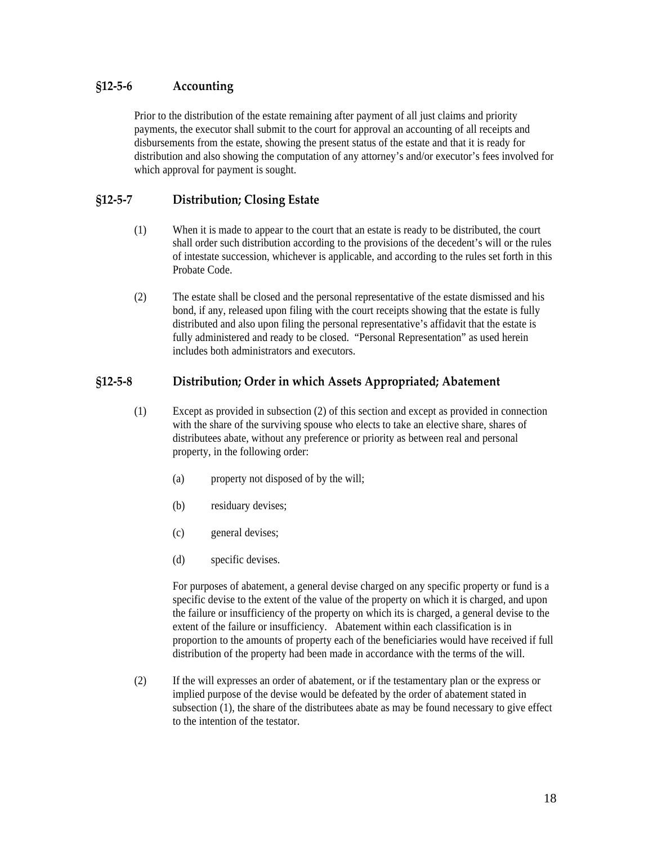# <span id="page-17-0"></span>**§12‐5‐6 Accounting**

Prior to the distribution of the estate remaining after payment of all just claims and priority payments, the executor shall submit to the court for approval an accounting of all receipts and disbursements from the estate, showing the present status of the estate and that it is ready for distribution and also showing the computation of any attorney's and/or executor's fees involved for which approval for payment is sought.

# **§12‐5‐7 Distribution; Closing Estate**

- (1) When it is made to appear to the court that an estate is ready to be distributed, the court shall order such distribution according to the provisions of the decedent's will or the rules of intestate succession, whichever is applicable, and according to the rules set forth in this Probate Code.
- (2) The estate shall be closed and the personal representative of the estate dismissed and his bond, if any, released upon filing with the court receipts showing that the estate is fully distributed and also upon filing the personal representative's affidavit that the estate is fully administered and ready to be closed. "Personal Representation" as used herein includes both administrators and executors.

# **§12‐5‐8 Distribution; Order in which Assets Appropriated; Abatement**

- (1) Except as provided in subsection (2) of this section and except as provided in connection with the share of the surviving spouse who elects to take an elective share, shares of distributees abate, without any preference or priority as between real and personal property, in the following order:
	- (a) property not disposed of by the will;
	- (b) residuary devises;
	- (c) general devises;
	- (d) specific devises.

For purposes of abatement, a general devise charged on any specific property or fund is a specific devise to the extent of the value of the property on which it is charged, and upon the failure or insufficiency of the property on which its is charged, a general devise to the extent of the failure or insufficiency. Abatement within each classification is in proportion to the amounts of property each of the beneficiaries would have received if full distribution of the property had been made in accordance with the terms of the will.

(2) If the will expresses an order of abatement, or if the testamentary plan or the express or implied purpose of the devise would be defeated by the order of abatement stated in subsection (1), the share of the distributees abate as may be found necessary to give effect to the intention of the testator.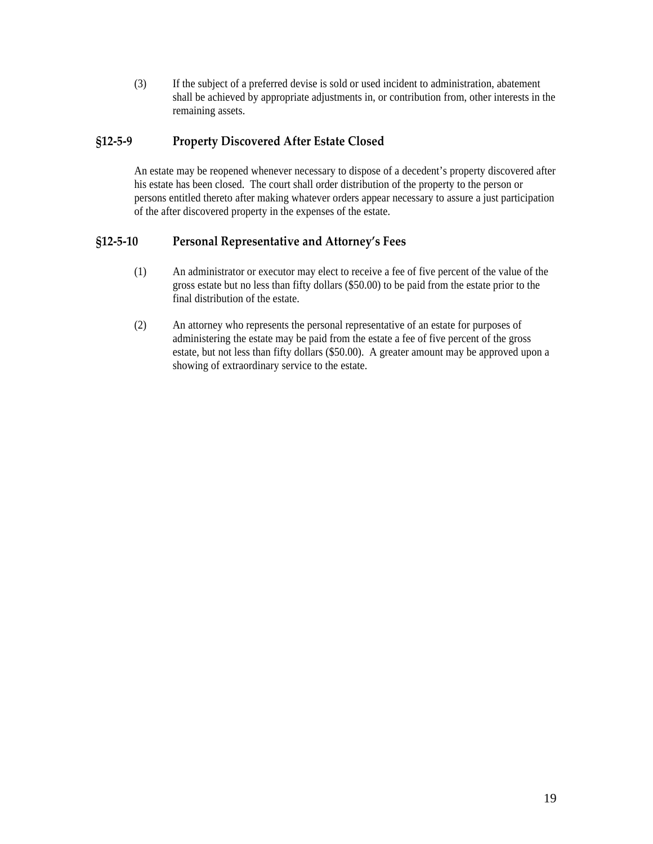<span id="page-18-0"></span>(3) If the subject of a preferred devise is sold or used incident to administration, abatement shall be achieved by appropriate adjustments in, or contribution from, other interests in the remaining assets.

## **§12‐5‐9 Property Discovered After Estate Closed**

An estate may be reopened whenever necessary to dispose of a decedent's property discovered after his estate has been closed. The court shall order distribution of the property to the person or persons entitled thereto after making whatever orders appear necessary to assure a just participation of the after discovered property in the expenses of the estate.

## **§12‐5‐10 Personal Representative and Attorney's Fees**

- (1) An administrator or executor may elect to receive a fee of five percent of the value of the gross estate but no less than fifty dollars (\$50.00) to be paid from the estate prior to the final distribution of the estate.
- (2) An attorney who represents the personal representative of an estate for purposes of administering the estate may be paid from the estate a fee of five percent of the gross estate, but not less than fifty dollars (\$50.00). A greater amount may be approved upon a showing of extraordinary service to the estate.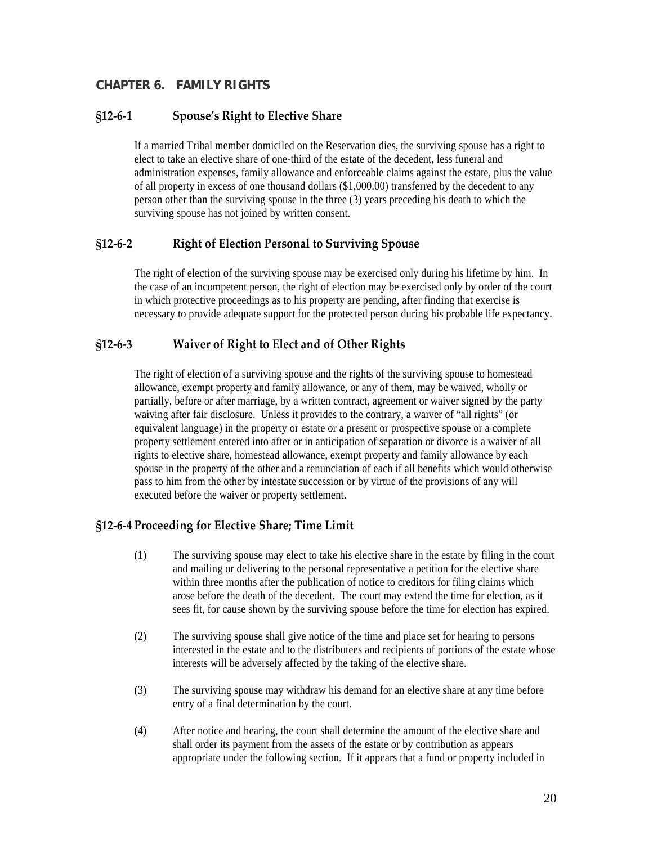# <span id="page-19-0"></span>**CHAPTER 6. FAMILY RIGHTS**

#### **§12‐6‐1 Spouse's Right to Elective Share**

If a married Tribal member domiciled on the Reservation dies, the surviving spouse has a right to elect to take an elective share of one-third of the estate of the decedent, less funeral and administration expenses, family allowance and enforceable claims against the estate, plus the value of all property in excess of one thousand dollars (\$1,000.00) transferred by the decedent to any person other than the surviving spouse in the three (3) years preceding his death to which the surviving spouse has not joined by written consent.

#### **§12‐6‐2 Right of Election Personal to Surviving Spouse**

The right of election of the surviving spouse may be exercised only during his lifetime by him. In the case of an incompetent person, the right of election may be exercised only by order of the court in which protective proceedings as to his property are pending, after finding that exercise is necessary to provide adequate support for the protected person during his probable life expectancy.

## **§12‐6‐3 Waiver of Right to Elect and of Other Rights**

The right of election of a surviving spouse and the rights of the surviving spouse to homestead allowance, exempt property and family allowance, or any of them, may be waived, wholly or partially, before or after marriage, by a written contract, agreement or waiver signed by the party waiving after fair disclosure. Unless it provides to the contrary, a waiver of "all rights" (or equivalent language) in the property or estate or a present or prospective spouse or a complete property settlement entered into after or in anticipation of separation or divorce is a waiver of all rights to elective share, homestead allowance, exempt property and family allowance by each spouse in the property of the other and a renunciation of each if all benefits which would otherwise pass to him from the other by intestate succession or by virtue of the provisions of any will executed before the waiver or property settlement.

## **§12‐6‐4 Proceeding for Elective Share; Time Limit**

- (1) The surviving spouse may elect to take his elective share in the estate by filing in the court and mailing or delivering to the personal representative a petition for the elective share within three months after the publication of notice to creditors for filing claims which arose before the death of the decedent. The court may extend the time for election, as it sees fit, for cause shown by the surviving spouse before the time for election has expired.
- (2) The surviving spouse shall give notice of the time and place set for hearing to persons interested in the estate and to the distributees and recipients of portions of the estate whose interests will be adversely affected by the taking of the elective share.
- (3) The surviving spouse may withdraw his demand for an elective share at any time before entry of a final determination by the court.
- (4) After notice and hearing, the court shall determine the amount of the elective share and shall order its payment from the assets of the estate or by contribution as appears appropriate under the following section. If it appears that a fund or property included in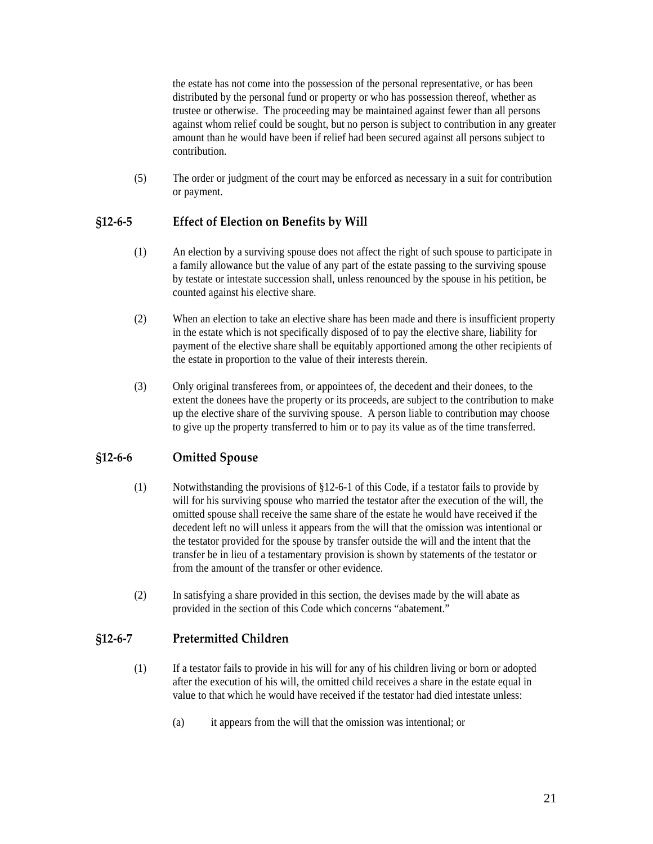<span id="page-20-0"></span>the estate has not come into the possession of the personal representative, or has been distributed by the personal fund or property or who has possession thereof, whether as trustee or otherwise. The proceeding may be maintained against fewer than all persons against whom relief could be sought, but no person is subject to contribution in any greater amount than he would have been if relief had been secured against all persons subject to contribution.

(5) The order or judgment of the court may be enforced as necessary in a suit for contribution or payment.

# **§12‐6‐5 Effect of Election on Benefits by Will**

- (1) An election by a surviving spouse does not affect the right of such spouse to participate in a family allowance but the value of any part of the estate passing to the surviving spouse by testate or intestate succession shall, unless renounced by the spouse in his petition, be counted against his elective share.
- (2) When an election to take an elective share has been made and there is insufficient property in the estate which is not specifically disposed of to pay the elective share, liability for payment of the elective share shall be equitably apportioned among the other recipients of the estate in proportion to the value of their interests therein.
- (3) Only original transferees from, or appointees of, the decedent and their donees, to the extent the donees have the property or its proceeds, are subject to the contribution to make up the elective share of the surviving spouse. A person liable to contribution may choose to give up the property transferred to him or to pay its value as of the time transferred.

# **§12‐6‐6 Omitted Spouse**

- (1) Notwithstanding the provisions of §12-6-1 of this Code, if a testator fails to provide by will for his surviving spouse who married the testator after the execution of the will, the omitted spouse shall receive the same share of the estate he would have received if the decedent left no will unless it appears from the will that the omission was intentional or the testator provided for the spouse by transfer outside the will and the intent that the transfer be in lieu of a testamentary provision is shown by statements of the testator or from the amount of the transfer or other evidence.
- (2) In satisfying a share provided in this section, the devises made by the will abate as provided in the section of this Code which concerns "abatement."

## **§12‐6‐7 Pretermitted Children**

- (1) If a testator fails to provide in his will for any of his children living or born or adopted after the execution of his will, the omitted child receives a share in the estate equal in value to that which he would have received if the testator had died intestate unless:
	- (a) it appears from the will that the omission was intentional; or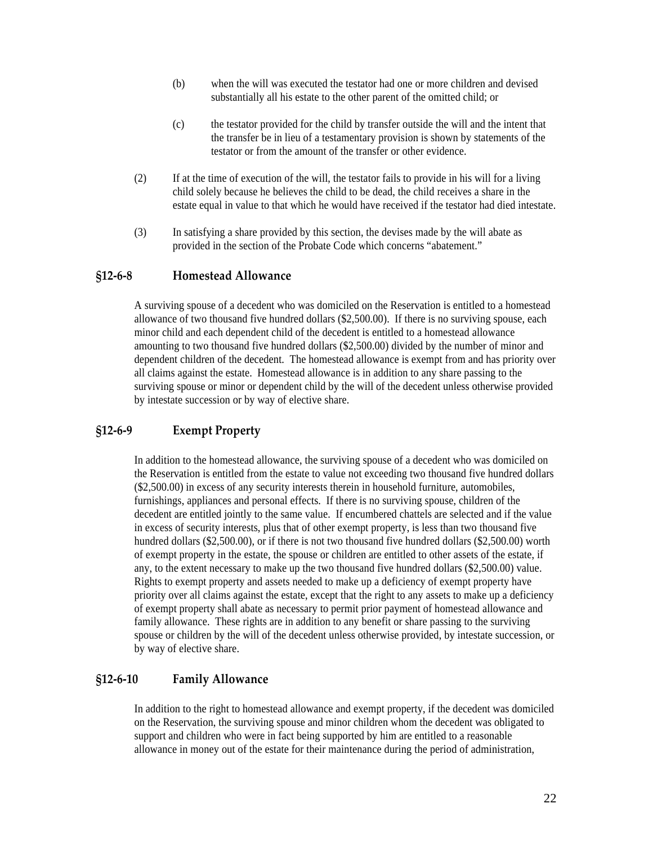- <span id="page-21-0"></span>(b) when the will was executed the testator had one or more children and devised substantially all his estate to the other parent of the omitted child; or
- (c) the testator provided for the child by transfer outside the will and the intent that the transfer be in lieu of a testamentary provision is shown by statements of the testator or from the amount of the transfer or other evidence.
- (2) If at the time of execution of the will, the testator fails to provide in his will for a living child solely because he believes the child to be dead, the child receives a share in the estate equal in value to that which he would have received if the testator had died intestate.
- (3) In satisfying a share provided by this section, the devises made by the will abate as provided in the section of the Probate Code which concerns "abatement."

#### **§12‐6‐8 Homestead Allowance**

A surviving spouse of a decedent who was domiciled on the Reservation is entitled to a homestead allowance of two thousand five hundred dollars (\$2,500.00). If there is no surviving spouse, each minor child and each dependent child of the decedent is entitled to a homestead allowance amounting to two thousand five hundred dollars (\$2,500.00) divided by the number of minor and dependent children of the decedent. The homestead allowance is exempt from and has priority over all claims against the estate. Homestead allowance is in addition to any share passing to the surviving spouse or minor or dependent child by the will of the decedent unless otherwise provided by intestate succession or by way of elective share.

## **§12‐6‐9 Exempt Property**

In addition to the homestead allowance, the surviving spouse of a decedent who was domiciled on the Reservation is entitled from the estate to value not exceeding two thousand five hundred dollars (\$2,500.00) in excess of any security interests therein in household furniture, automobiles, furnishings, appliances and personal effects. If there is no surviving spouse, children of the decedent are entitled jointly to the same value. If encumbered chattels are selected and if the value in excess of security interests, plus that of other exempt property, is less than two thousand five hundred dollars (\$2,500.00), or if there is not two thousand five hundred dollars (\$2,500.00) worth of exempt property in the estate, the spouse or children are entitled to other assets of the estate, if any, to the extent necessary to make up the two thousand five hundred dollars (\$2,500.00) value. Rights to exempt property and assets needed to make up a deficiency of exempt property have priority over all claims against the estate, except that the right to any assets to make up a deficiency of exempt property shall abate as necessary to permit prior payment of homestead allowance and family allowance. These rights are in addition to any benefit or share passing to the surviving spouse or children by the will of the decedent unless otherwise provided, by intestate succession, or by way of elective share.

#### **§12‐6‐10 Family Allowance**

In addition to the right to homestead allowance and exempt property, if the decedent was domiciled on the Reservation, the surviving spouse and minor children whom the decedent was obligated to support and children who were in fact being supported by him are entitled to a reasonable allowance in money out of the estate for their maintenance during the period of administration,